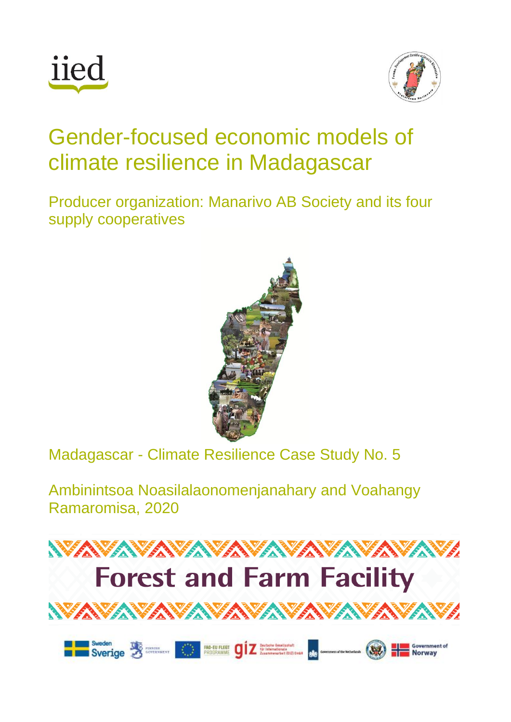



# Gender-focused economic models of climate resilience in Madagascar

Producer organization: Manarivo AB Society and its four supply cooperatives



Madagascar - Climate Resilience Case Study No. 5

Ambinintsoa Noasilalaonomenjanahary and Voahangy Ramaromisa, 2020

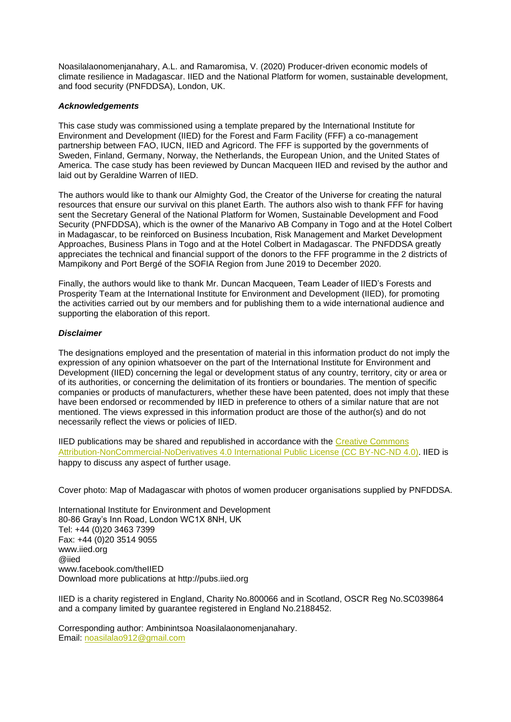Noasilalaonomenjanahary, A.L. and Ramaromisa, V. (2020) Producer-driven economic models of climate resilience in Madagascar. IIED and the National Platform for women, sustainable development, and food security (PNFDDSA), London, UK.

#### *Acknowledgements*

This case study was commissioned using a template prepared by the International Institute for Environment and Development (IIED) for the Forest and Farm Facility (FFF) a co-management partnership between FAO, IUCN, IIED and Agricord. The FFF is supported by the governments of Sweden, Finland, Germany, Norway, the Netherlands, the European Union, and the United States of America. The case study has been reviewed by Duncan Macqueen IIED and revised by the author and laid out by Geraldine Warren of IIED.

The authors would like to thank our Almighty God, the Creator of the Universe for creating the natural resources that ensure our survival on this planet Earth. The authors also wish to thank FFF for having sent the Secretary General of the National Platform for Women, Sustainable Development and Food Security (PNFDDSA), which is the owner of the Manarivo AB Company in Togo and at the Hotel Colbert in Madagascar, to be reinforced on Business Incubation, Risk Management and Market Development Approaches, Business Plans in Togo and at the Hotel Colbert in Madagascar. The PNFDDSA greatly appreciates the technical and financial support of the donors to the FFF programme in the 2 districts of Mampikony and Port Bergé of the SOFIA Region from June 2019 to December 2020.

Finally, the authors would like to thank Mr. Duncan Macqueen, Team Leader of IIED's Forests and Prosperity Team at the International Institute for Environment and Development (IIED), for promoting the activities carried out by our members and for publishing them to a wide international audience and supporting the elaboration of this report.

#### *Disclaimer*

The designations employed and the presentation of material in this information product do not imply the expression of any opinion whatsoever on the part of the International Institute for Environment and Development (IIED) concerning the legal or development status of any country, territory, city or area or of its authorities, or concerning the delimitation of its frontiers or boundaries. The mention of specific companies or products of manufacturers, whether these have been patented, does not imply that these have been endorsed or recommended by IIED in preference to others of a similar nature that are not mentioned. The views expressed in this information product are those of the author(s) and do not necessarily reflect the views or policies of IIED.

IIED publications may be shared and republished in accordance with the Creative Commons [Attribution-NonCommercial-NoDerivatives 4.0 International Public License \(CC BY-NC-ND 4.0\).](https://creativecommons.org/licenses/by-nc-nd/4.0/) IIED is happy to discuss any aspect of further usage.

Cover photo: Map of Madagascar with photos of women producer organisations supplied by PNFDDSA.

International Institute for Environment and Development 80-86 Gray's Inn Road, London WC1X 8NH, UK Tel: +44 (0)20 3463 7399 Fax: +44 (0)20 3514 9055 www.iied.org @iied www.facebook.com/theIIED Download more publications at http://pubs.iied.org

IIED is a charity registered in England, Charity No.800066 and in Scotland, OSCR Reg No.SC039864 and a company limited by guarantee registered in England No.2188452.

Corresponding author: Ambinintsoa Noasilalaonomenjanahary. Email: [noasilalao912@gmail.com](mailto:noasilalao912@gmail.com)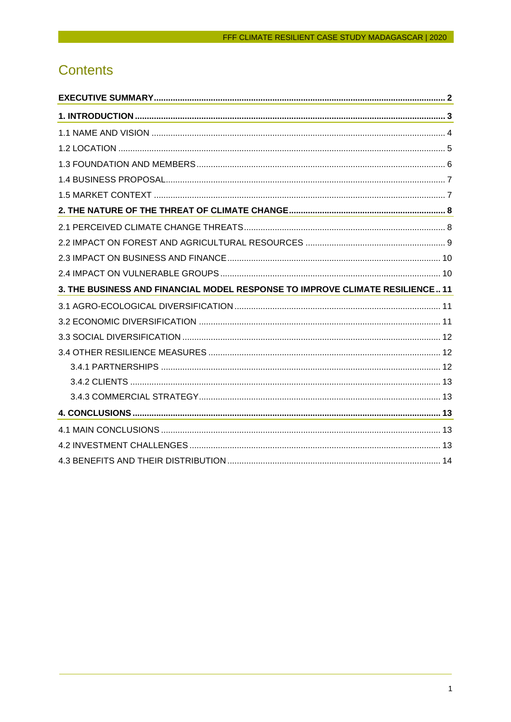# **Contents**

| 3. THE BUSINESS AND FINANCIAL MODEL RESPONSE TO IMPROVE CLIMATE RESILIENCE 11 |  |
|-------------------------------------------------------------------------------|--|
|                                                                               |  |
|                                                                               |  |
|                                                                               |  |
|                                                                               |  |
|                                                                               |  |
|                                                                               |  |
|                                                                               |  |
|                                                                               |  |
|                                                                               |  |
|                                                                               |  |
|                                                                               |  |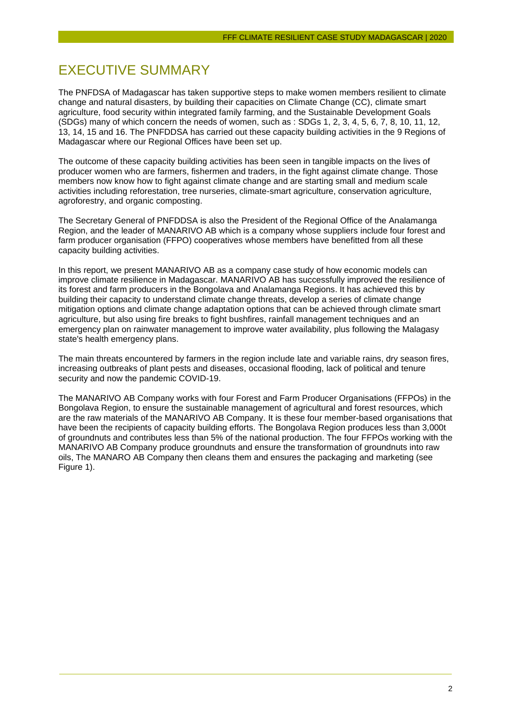## <span id="page-3-0"></span>EXECUTIVE SUMMARY

The PNFDSA of Madagascar has taken supportive steps to make women members resilient to climate change and natural disasters, by building their capacities on Climate Change (CC), climate smart agriculture, food security within integrated family farming, and the Sustainable Development Goals (SDGs) many of which concern the needs of women, such as : SDGs 1, 2, 3, 4, 5, 6, 7, 8, 10, 11, 12, 13, 14, 15 and 16. The PNFDDSA has carried out these capacity building activities in the 9 Regions of Madagascar where our Regional Offices have been set up.

The outcome of these capacity building activities has been seen in tangible impacts on the lives of producer women who are farmers, fishermen and traders, in the fight against climate change. Those members now know how to fight against climate change and are starting small and medium scale activities including reforestation, tree nurseries, climate-smart agriculture, conservation agriculture, agroforestry, and organic composting.

The Secretary General of PNFDDSA is also the President of the Regional Office of the Analamanga Region, and the leader of MANARIVO AB which is a company whose suppliers include four forest and farm producer organisation (FFPO) cooperatives whose members have benefitted from all these capacity building activities.

In this report, we present MANARIVO AB as a company case study of how economic models can improve climate resilience in Madagascar. MANARIVO AB has successfully improved the resilience of its forest and farm producers in the Bongolava and Analamanga Regions. It has achieved this by building their capacity to understand climate change threats, develop a series of climate change mitigation options and climate change adaptation options that can be achieved through climate smart agriculture, but also using fire breaks to fight bushfires, rainfall management techniques and an emergency plan on rainwater management to improve water availability, plus following the Malagasy state's health emergency plans.

The main threats encountered by farmers in the region include late and variable rains, dry season fires, increasing outbreaks of plant pests and diseases, occasional flooding, lack of political and tenure security and now the pandemic COVID-19.

The MANARIVO AB Company works with four Forest and Farm Producer Organisations (FFPOs) in the Bongolava Region, to ensure the sustainable management of agricultural and forest resources, which are the raw materials of the MANARIVO AB Company. It is these four member-based organisations that have been the recipients of capacity building efforts. The Bongolava Region produces less than 3,000t of groundnuts and contributes less than 5% of the national production. The four FFPOs working with the MANARIVO AB Company produce groundnuts and ensure the transformation of groundnuts into raw oils, The MANARO AB Company then cleans them and ensures the packaging and marketing (see Figure 1).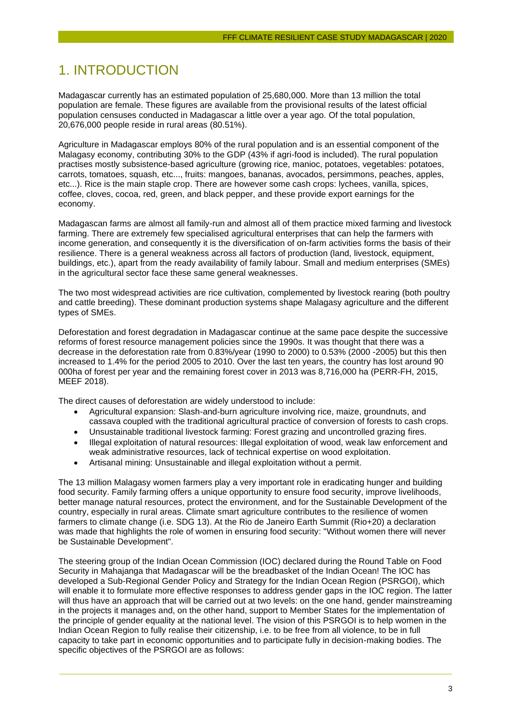## <span id="page-4-0"></span>1. INTRODUCTION

Madagascar currently has an estimated population of 25,680,000. More than 13 million the total population are female. These figures are available from the provisional results of the latest official population censuses conducted in Madagascar a little over a year ago. Of the total population, 20,676,000 people reside in rural areas (80.51%).

Agriculture in Madagascar employs 80% of the rural population and is an essential component of the Malagasy economy, contributing 30% to the GDP (43% if agri-food is included). The rural population practises mostly subsistence-based agriculture (growing rice, manioc, potatoes, vegetables: potatoes, carrots, tomatoes, squash, etc..., fruits: mangoes, bananas, avocados, persimmons, peaches, apples, etc...). Rice is the main staple crop. There are however some cash crops: lychees, vanilla, spices, coffee, cloves, cocoa, red, green, and black pepper, and these provide export earnings for the economy.

Madagascan farms are almost all family-run and almost all of them practice mixed farming and livestock farming. There are extremely few specialised agricultural enterprises that can help the farmers with income generation, and consequently it is the diversification of on-farm activities forms the basis of their resilience. There is a general weakness across all factors of production (land, livestock, equipment, buildings, etc.), apart from the ready availability of family labour. Small and medium enterprises (SMEs) in the agricultural sector face these same general weaknesses.

The two most widespread activities are rice cultivation, complemented by livestock rearing (both poultry and cattle breeding). These dominant production systems shape Malagasy agriculture and the different types of SMEs.

Deforestation and forest degradation in Madagascar continue at the same pace despite the successive reforms of forest resource management policies since the 1990s. It was thought that there was a decrease in the deforestation rate from 0.83%/year (1990 to 2000) to 0.53% (2000 -2005) but this then increased to 1.4% for the period 2005 to 2010. Over the last ten years, the country has lost around 90 000ha of forest per year and the remaining forest cover in 2013 was 8,716,000 ha (PERR-FH, 2015, MEEF 2018).

The direct causes of deforestation are widely understood to include:

- Agricultural expansion: Slash-and-burn agriculture involving rice, maize, groundnuts, and cassava coupled with the traditional agricultural practice of conversion of forests to cash crops.
- Unsustainable traditional livestock farming: Forest grazing and uncontrolled grazing fires.
- Illegal exploitation of natural resources: Illegal exploitation of wood, weak law enforcement and weak administrative resources, lack of technical expertise on wood exploitation.
- Artisanal mining: Unsustainable and illegal exploitation without a permit.

The 13 million Malagasy women farmers play a very important role in eradicating hunger and building food security. Family farming offers a unique opportunity to ensure food security, improve livelihoods, better manage natural resources, protect the environment, and for the Sustainable Development of the country, especially in rural areas. Climate smart agriculture contributes to the resilience of women farmers to climate change (i.e. SDG 13). At the Rio de Janeiro Earth Summit (Rio+20) a declaration was made that highlights the role of women in ensuring food security: "Without women there will never be Sustainable Development".

The steering group of the Indian Ocean Commission (IOC) declared during the Round Table on Food Security in Mahajanga that Madagascar will be the breadbasket of the Indian Ocean! The IOC has developed a Sub-Regional Gender Policy and Strategy for the Indian Ocean Region (PSRGOI), which will enable it to formulate more effective responses to address gender gaps in the IOC region. The latter will thus have an approach that will be carried out at two levels: on the one hand, gender mainstreaming in the projects it manages and, on the other hand, support to Member States for the implementation of the principle of gender equality at the national level. The vision of this PSRGOI is to help women in the Indian Ocean Region to fully realise their citizenship, i.e. to be free from all violence, to be in full capacity to take part in economic opportunities and to participate fully in decision-making bodies. The specific objectives of the PSRGOI are as follows: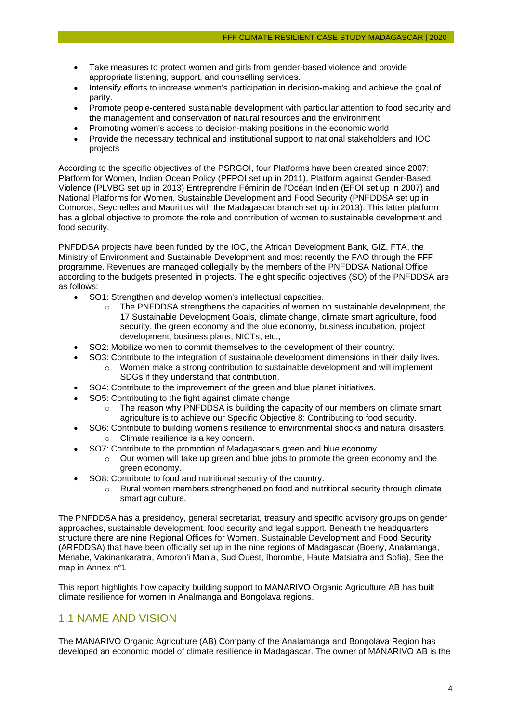- Take measures to protect women and girls from gender-based violence and provide appropriate listening, support, and counselling services.
- Intensify efforts to increase women's participation in decision-making and achieve the goal of parity.
- Promote people-centered sustainable development with particular attention to food security and the management and conservation of natural resources and the environment
- Promoting women's access to decision-making positions in the economic world
- Provide the necessary technical and institutional support to national stakeholders and IOC projects

According to the specific objectives of the PSRGOI, four Platforms have been created since 2007: Platform for Women, Indian Ocean Policy (PFPOI set up in 2011), Platform against Gender-Based Violence (PLVBG set up in 2013) Entreprendre Féminin de l'Océan Indien (EFOI set up in 2007) and National Platforms for Women, Sustainable Development and Food Security (PNFDDSA set up in Comoros, Seychelles and Mauritius with the Madagascar branch set up in 2013). This latter platform has a global objective to promote the role and contribution of women to sustainable development and food security.

PNFDDSA projects have been funded by the IOC, the African Development Bank, GIZ, FTA, the Ministry of Environment and Sustainable Development and most recently the FAO through the FFF programme. Revenues are managed collegially by the members of the PNFDDSA National Office according to the budgets presented in projects. The eight specific objectives (SO) of the PNFDDSA are as follows:

- SO1: Strengthen and develop women's intellectual capacities.
	- o The PNFDDSA strengthens the capacities of women on sustainable development, the 17 Sustainable Development Goals, climate change, climate smart agriculture, food security, the green economy and the blue economy, business incubation, project development, business plans, NICTs, etc.,
- SO2: Mobilize women to commit themselves to the development of their country.
	- SO3: Contribute to the integration of sustainable development dimensions in their daily lives. o Women make a strong contribution to sustainable development and will implement
		- SDGs if they understand that contribution.
- SO4: Contribute to the improvement of the green and blue planet initiatives.
- SO5: Contributing to the fight against climate change
	- $\circ$  The reason why PNFDDSA is building the capacity of our members on climate smart agriculture is to achieve our Specific Objective 8: Contributing to food security.
- SO6: Contribute to building women's resilience to environmental shocks and natural disasters. o Climate resilience is a key concern.
	- SO7: Contribute to the promotion of Madagascar's green and blue economy.
		- $\circ$  Our women will take up green and blue jobs to promote the green economy and the green economy.
	- SO8: Contribute to food and nutritional security of the country.
		- $\circ$  Rural women members strengthened on food and nutritional security through climate smart agriculture.

The PNFDDSA has a presidency, general secretariat, treasury and specific advisory groups on gender approaches, sustainable development, food security and legal support. Beneath the headquarters structure there are nine Regional Offices for Women, Sustainable Development and Food Security (ARFDDSA) that have been officially set up in the nine regions of Madagascar (Boeny, Analamanga, Menabe, Vakinankaratra, Amoron'i Mania, Sud Ouest, Ihorombe, Haute Matsiatra and Sofia), See the map in Annex n°1

This report highlights how capacity building support to MANARIVO Organic Agriculture AB has built climate resilience for women in Analmanga and Bongolava regions.

#### <span id="page-5-0"></span>1.1 NAME AND VISION

The MANARIVO Organic Agriculture (AB) Company of the Analamanga and Bongolava Region has developed an economic model of climate resilience in Madagascar. The owner of MANARIVO AB is the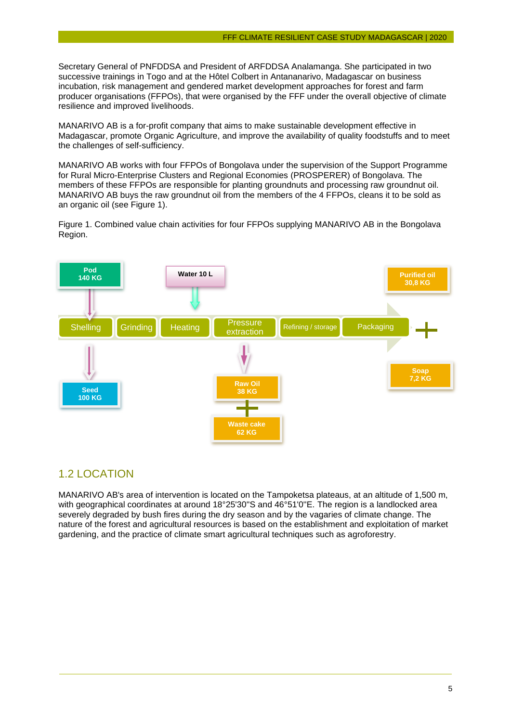Secretary General of PNFDDSA and President of ARFDDSA Analamanga. She participated in two successive trainings in Togo and at the Hôtel Colbert in Antananarivo, Madagascar on business incubation, risk management and gendered market development approaches for forest and farm producer organisations (FFPOs), that were organised by the FFF under the overall objective of climate resilience and improved livelihoods.

MANARIVO AB is a for-profit company that aims to make sustainable development effective in Madagascar, promote Organic Agriculture, and improve the availability of quality foodstuffs and to meet the challenges of self-sufficiency.

MANARIVO AB works with four FFPOs of Bongolava under the supervision of the Support Programme for Rural Micro-Enterprise Clusters and Regional Economies (PROSPERER) of Bongolava. The members of these FFPOs are responsible for planting groundnuts and processing raw groundnut oil. MANARIVO AB buys the raw groundnut oil from the members of the 4 FFPOs, cleans it to be sold as an organic oil (see Figure 1).

Figure 1. Combined value chain activities for four FFPOs supplying MANARIVO AB in the Bongolava Region.



#### <span id="page-6-0"></span>1.2 LOCATION

MANARIVO AB's area of intervention is located on the Tampoketsa plateaus, at an altitude of 1,500 m, with geographical coordinates at around 18°25'30"S and 46°51'0"E. The region is a landlocked area severely degraded by bush fires during the dry season and by the vagaries of climate change. The nature of the forest and agricultural resources is based on the establishment and exploitation of market gardening, and the practice of climate smart agricultural techniques such as agroforestry.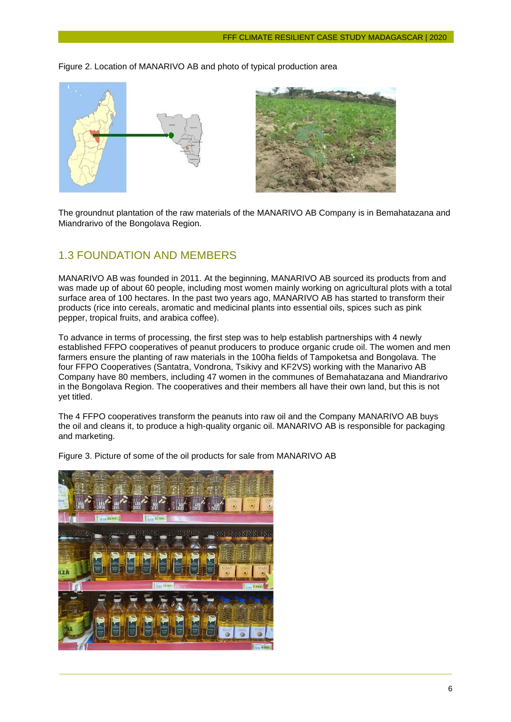Figure 2. Location of MANARIVO AB and photo of typical production area



The groundnut plantation of the raw materials of the MANARIVO AB Company is in Bemahatazana and Miandrarivo of the Bongolava Region.

#### <span id="page-7-0"></span>1.3 FOUNDATION AND MEMBERS

MANARIVO AB was founded in 2011. At the beginning, MANARIVO AB sourced its products from and was made up of about 60 people, including most women mainly working on agricultural plots with a total surface area of 100 hectares. In the past two years ago, MANARIVO AB has started to transform their products (rice into cereals, aromatic and medicinal plants into essential oils, spices such as pink pepper, tropical fruits, and arabica coffee).

To advance in terms of processing, the first step was to help establish partnerships with 4 newly established FFPO cooperatives of peanut producers to produce organic crude oil. The women and men farmers ensure the planting of raw materials in the 100ha fields of Tampoketsa and Bongolava. The four FFPO Cooperatives (Santatra, Vondrona, Tsikivy and KF2VS) working with the Manarivo AB Company have 80 members, including 47 women in the communes of Bemahatazana and Miandrarivo in the Bongolava Region. The cooperatives and their members all have their own land, but this is not yet titled.

The 4 FFPO cooperatives transform the peanuts into raw oil and the Company MANARIVO AB buys the oil and cleans it, to produce a high-quality organic oil. MANARIVO AB is responsible for packaging and marketing.



Figure 3. Picture of some of the oil products for sale from MANARIVO AB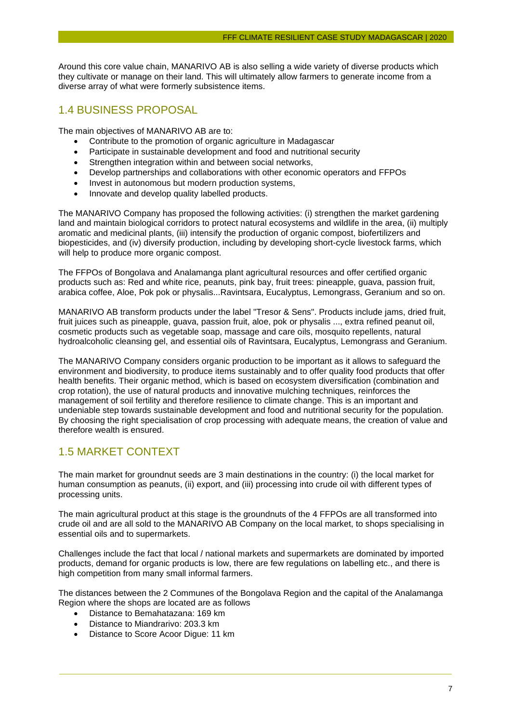Around this core value chain, MANARIVO AB is also selling a wide variety of diverse products which they cultivate or manage on their land. This will ultimately allow farmers to generate income from a diverse array of what were formerly subsistence items.

#### <span id="page-8-0"></span>1.4 BUSINESS PROPOSAL

The main objectives of MANARIVO AB are to:

- Contribute to the promotion of organic agriculture in Madagascar
- Participate in sustainable development and food and nutritional security
- Strengthen integration within and between social networks,
- Develop partnerships and collaborations with other economic operators and FFPOs
- Invest in autonomous but modern production systems,
- Innovate and develop quality labelled products.

The MANARIVO Company has proposed the following activities: (i) strengthen the market gardening land and maintain biological corridors to protect natural ecosystems and wildlife in the area, (ii) multiply aromatic and medicinal plants, (iii) intensify the production of organic compost, biofertilizers and biopesticides, and (iv) diversify production, including by developing short-cycle livestock farms, which will help to produce more organic compost.

The FFPOs of Bongolava and Analamanga plant agricultural resources and offer certified organic products such as: Red and white rice, peanuts, pink bay, fruit trees: pineapple, guava, passion fruit, arabica coffee, Aloe, Pok pok or physalis...Ravintsara, Eucalyptus, Lemongrass, Geranium and so on.

MANARIVO AB transform products under the label "Tresor & Sens". Products include jams, dried fruit, fruit juices such as pineapple, guava, passion fruit, aloe, pok or physalis ..., extra refined peanut oil, cosmetic products such as vegetable soap, massage and care oils, mosquito repellents, natural hydroalcoholic cleansing gel, and essential oils of Ravintsara, Eucalyptus, Lemongrass and Geranium.

The MANARIVO Company considers organic production to be important as it allows to safeguard the environment and biodiversity, to produce items sustainably and to offer quality food products that offer health benefits. Their organic method, which is based on ecosystem diversification (combination and crop rotation), the use of natural products and innovative mulching techniques, reinforces the management of soil fertility and therefore resilience to climate change. This is an important and undeniable step towards sustainable development and food and nutritional security for the population. By choosing the right specialisation of crop processing with adequate means, the creation of value and therefore wealth is ensured.

#### <span id="page-8-1"></span>1.5 MARKET CONTEXT

The main market for groundnut seeds are 3 main destinations in the country: (i) the local market for human consumption as peanuts, (ii) export, and (iii) processing into crude oil with different types of processing units.

The main agricultural product at this stage is the groundnuts of the 4 FFPOs are all transformed into crude oil and are all sold to the MANARIVO AB Company on the local market, to shops specialising in essential oils and to supermarkets.

Challenges include the fact that local / national markets and supermarkets are dominated by imported products, demand for organic products is low, there are few regulations on labelling etc., and there is high competition from many small informal farmers.

The distances between the 2 Communes of the Bongolava Region and the capital of the Analamanga Region where the shops are located are as follows

- Distance to Bemahatazana: 169 km
- Distance to Miandrarivo: 203.3 km
- Distance to Score Acoor Digue: 11 km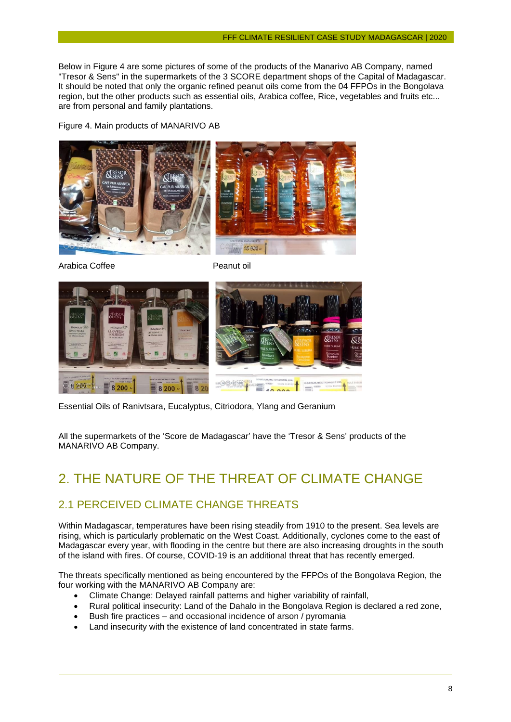Below in Figure 4 are some pictures of some of the products of the Manarivo AB Company, named "Tresor & Sens" in the supermarkets of the 3 SCORE department shops of the Capital of Madagascar. It should be noted that only the organic refined peanut oils come from the 04 FFPOs in the Bongolava region, but the other products such as essential oils, Arabica coffee, Rice, vegetables and fruits etc... are from personal and family plantations.

Figure 4. Main products of MANARIVO AB



Arabica Coffee **Peanut oil** 



Essential Oils of Ranivtsara, Eucalyptus, Citriodora, Ylang and Geranium

All the supermarkets of the 'Score de Madagascar' have the 'Tresor & Sens' products of the MANARIVO AB Company.

## <span id="page-9-0"></span>2. THE NATURE OF THE THREAT OF CLIMATE CHANGE

#### <span id="page-9-1"></span>2.1 PERCEIVED CLIMATE CHANGE THREATS

Within Madagascar, temperatures have been rising steadily from 1910 to the present. Sea levels are rising, which is particularly problematic on the West Coast. Additionally, cyclones come to the east of Madagascar every year, with flooding in the centre but there are also increasing droughts in the south of the island with fires. Of course, COVID-19 is an additional threat that has recently emerged.

The threats specifically mentioned as being encountered by the FFPOs of the Bongolava Region, the four working with the MANARIVO AB Company are:

- Climate Change: Delayed rainfall patterns and higher variability of rainfall,
- Rural political insecurity: Land of the Dahalo in the Bongolava Region is declared a red zone,
- Bush fire practices and occasional incidence of arson / pyromania
- Land insecurity with the existence of land concentrated in state farms.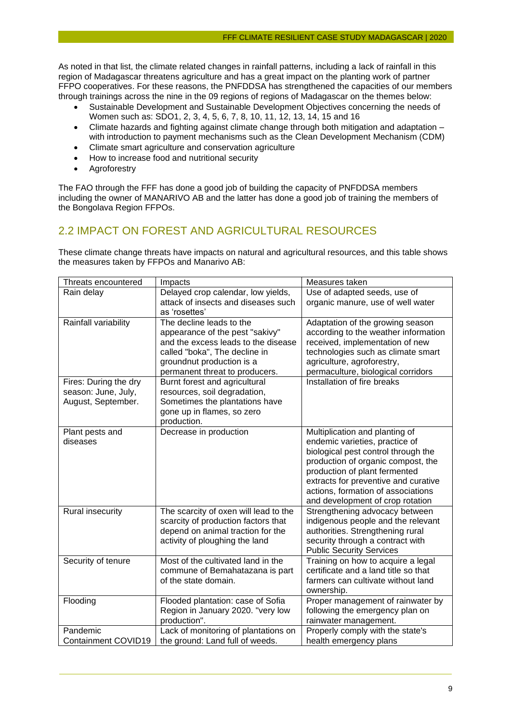As noted in that list, the climate related changes in rainfall patterns, including a lack of rainfall in this region of Madagascar threatens agriculture and has a great impact on the planting work of partner FFPO cooperatives. For these reasons, the PNFDDSA has strengthened the capacities of our members through trainings across the nine in the 09 regions of regions of Madagascar on the themes below:

- Sustainable Development and Sustainable Development Objectives concerning the needs of Women such as: SDO1, 2, 3, 4, 5, 6, 7, 8, 10, 11, 12, 13, 14, 15 and 16
- Climate hazards and fighting against climate change through both mitigation and adaptation with introduction to payment mechanisms such as the Clean Development Mechanism (CDM)
- Climate smart agriculture and conservation agriculture
- How to increase food and nutritional security
- Agroforestry

The FAO through the FFF has done a good job of building the capacity of PNFDDSA members including the owner of MANARIVO AB and the latter has done a good job of training the members of the Bongolava Region FFPOs.

#### <span id="page-10-0"></span>2.2 IMPACT ON FOREST AND AGRICULTURAL RESOURCES

These climate change threats have impacts on natural and agricultural resources, and this table shows the measures taken by FFPOs and Manarivo AB:

| Threats encountered                          | Impacts                                                       | Measures taken                                                             |
|----------------------------------------------|---------------------------------------------------------------|----------------------------------------------------------------------------|
| Rain delay                                   | Delayed crop calendar, low yields,                            | Use of adapted seeds, use of                                               |
|                                              | attack of insects and diseases such<br>as 'rosettes'          | organic manure, use of well water                                          |
| Rainfall variability                         | The decline leads to the                                      | Adaptation of the growing season                                           |
|                                              | appearance of the pest "sakivy"                               | according to the weather information                                       |
|                                              | and the excess leads to the disease                           | received, implementation of new                                            |
|                                              | called "boka", The decline in                                 | technologies such as climate smart                                         |
|                                              | groundnut production is a                                     | agriculture, agroforestry,                                                 |
|                                              | permanent threat to producers.                                | permaculture, biological corridors<br>Installation of fire breaks          |
| Fires: During the dry<br>season: June, July, | Burnt forest and agricultural<br>resources, soil degradation, |                                                                            |
| August, September.                           | Sometimes the plantations have                                |                                                                            |
|                                              | gone up in flames, so zero                                    |                                                                            |
|                                              | production.                                                   |                                                                            |
| Plant pests and                              | Decrease in production                                        | Multiplication and planting of                                             |
| diseases                                     |                                                               | endemic varieties, practice of                                             |
|                                              |                                                               | biological pest control through the                                        |
|                                              |                                                               | production of organic compost, the                                         |
|                                              |                                                               | production of plant fermented                                              |
|                                              |                                                               | extracts for preventive and curative                                       |
|                                              |                                                               | actions, formation of associations                                         |
|                                              |                                                               | and development of crop rotation                                           |
| Rural insecurity                             | The scarcity of oxen will lead to the                         | Strengthening advocacy between                                             |
|                                              | scarcity of production factors that                           | indigenous people and the relevant                                         |
|                                              | depend on animal traction for the                             | authorities. Strengthening rural                                           |
|                                              | activity of ploughing the land                                | security through a contract with                                           |
|                                              |                                                               | <b>Public Security Services</b>                                            |
| Security of tenure                           | Most of the cultivated land in the                            | Training on how to acquire a legal                                         |
|                                              | commune of Bemahatazana is part<br>of the state domain.       | certificate and a land title so that<br>farmers can cultivate without land |
|                                              |                                                               | ownership.                                                                 |
| Flooding                                     | Flooded plantation: case of Sofia                             | Proper management of rainwater by                                          |
|                                              | Region in January 2020. "very low                             | following the emergency plan on                                            |
|                                              | production".                                                  | rainwater management.                                                      |
| Pandemic                                     | Lack of monitoring of plantations on                          | Properly comply with the state's                                           |
| Containment COVID19                          | the ground: Land full of weeds.                               | health emergency plans                                                     |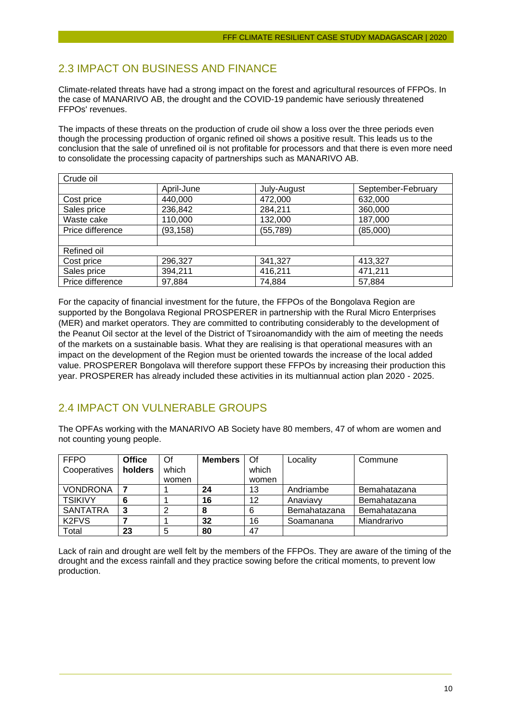#### <span id="page-11-0"></span>2.3 IMPACT ON BUSINESS AND FINANCE

Climate-related threats have had a strong impact on the forest and agricultural resources of FFPOs. In the case of MANARIVO AB, the drought and the COVID-19 pandemic have seriously threatened FFPOs' revenues.

The impacts of these threats on the production of crude oil show a loss over the three periods even though the processing production of organic refined oil shows a positive result. This leads us to the conclusion that the sale of unrefined oil is not profitable for processors and that there is even more need to consolidate the processing capacity of partnerships such as MANARIVO AB.

| Crude oil        |            |             |                    |
|------------------|------------|-------------|--------------------|
|                  | April-June | July-August | September-February |
| Cost price       | 440,000    | 472,000     | 632,000            |
| Sales price      | 236,842    | 284,211     | 360,000            |
| Waste cake       | 110,000    | 132,000     | 187,000            |
| Price difference | (93, 158)  | (55, 789)   | (85,000)           |
|                  |            |             |                    |
| Refined oil      |            |             |                    |
| Cost price       | 296,327    | 341,327     | 413,327            |
| Sales price      | 394,211    | 416,211     | 471,211            |
| Price difference | 97,884     | 74,884      | 57,884             |

For the capacity of financial investment for the future, the FFPOs of the Bongolava Region are supported by the Bongolava Regional PROSPERER in partnership with the Rural Micro Enterprises (MER) and market operators. They are committed to contributing considerably to the development of the Peanut Oil sector at the level of the District of Tsiroanomandidy with the aim of meeting the needs of the markets on a sustainable basis. What they are realising is that operational measures with an impact on the development of the Region must be oriented towards the increase of the local added value. PROSPERER Bongolava will therefore support these FFPOs by increasing their production this year. PROSPERER has already included these activities in its multiannual action plan 2020 - 2025.

#### <span id="page-11-1"></span>2.4 IMPACT ON VULNERABLE GROUPS

The OPFAs working with the MANARIVO AB Society have 80 members, 47 of whom are women and not counting young people.

| <b>FFPO</b>                    | <b>Office</b> | Of    | <b>Members</b> | Of    | Locality     | Commune      |
|--------------------------------|---------------|-------|----------------|-------|--------------|--------------|
| Cooperatives                   | holders       | which |                | which |              |              |
|                                |               | women |                | women |              |              |
| <b>VONDRONA</b>                |               |       | 24             | 13    | Andriambe    | Bemahatazana |
| <b>TSIKIVY</b>                 | 6             |       | 16             | 12    | Anaviavy     | Bemahatazana |
| <b>SANTATRA</b>                | 3             | ာ     | 8              | 6     | Bemahatazana | Bemahatazana |
| K <sub>2</sub> FV <sub>S</sub> |               |       | 32             | 16    | Soamanana    | Miandrarivo  |
| Total                          | 23            | 5     | 80             | 47    |              |              |

<span id="page-11-2"></span>Lack of rain and drought are well felt by the members of the FFPOs. They are aware of the timing of the drought and the excess rainfall and they practice sowing before the critical moments, to prevent low production.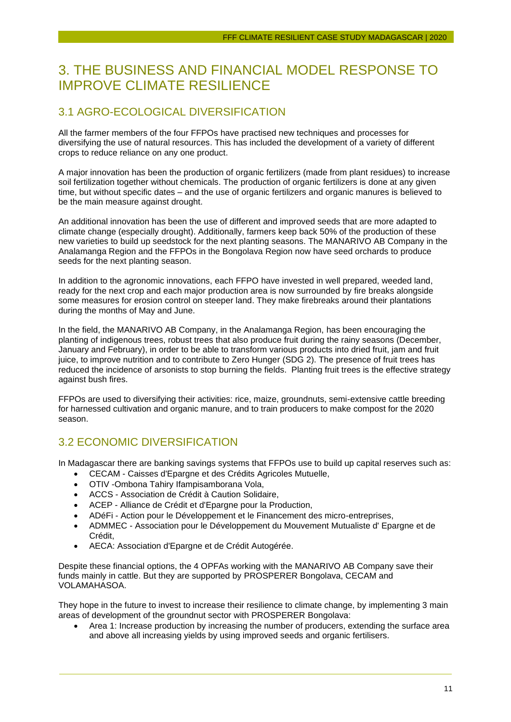## 3. THE BUSINESS AND FINANCIAL MODEL RESPONSE TO IMPROVE CLIMATE RESILIENCE

#### <span id="page-12-0"></span>3.1 AGRO-ECOLOGICAL DIVERSIFICATION

All the farmer members of the four FFPOs have practised new techniques and processes for diversifying the use of natural resources. This has included the development of a variety of different crops to reduce reliance on any one product.

A major innovation has been the production of organic fertilizers (made from plant residues) to increase soil fertilization together without chemicals. The production of organic fertilizers is done at any given time, but without specific dates – and the use of organic fertilizers and organic manures is believed to be the main measure against drought.

An additional innovation has been the use of different and improved seeds that are more adapted to climate change (especially drought). Additionally, farmers keep back 50% of the production of these new varieties to build up seedstock for the next planting seasons. The MANARIVO AB Company in the Analamanga Region and the FFPOs in the Bongolava Region now have seed orchards to produce seeds for the next planting season.

In addition to the agronomic innovations, each FFPO have invested in well prepared, weeded land, ready for the next crop and each major production area is now surrounded by fire breaks alongside some measures for erosion control on steeper land. They make firebreaks around their plantations during the months of May and June.

In the field, the MANARIVO AB Company, in the Analamanga Region, has been encouraging the planting of indigenous trees, robust trees that also produce fruit during the rainy seasons (December, January and February), in order to be able to transform various products into dried fruit, jam and fruit juice, to improve nutrition and to contribute to Zero Hunger (SDG 2). The presence of fruit trees has reduced the incidence of arsonists to stop burning the fields. Planting fruit trees is the effective strategy against bush fires.

FFPOs are used to diversifying their activities: rice, maize, groundnuts, semi-extensive cattle breeding for harnessed cultivation and organic manure, and to train producers to make compost for the 2020 season.

## <span id="page-12-1"></span>3.2 ECONOMIC DIVERSIFICATION

In Madagascar there are banking savings systems that FFPOs use to build up capital reserves such as:

- CECAM Caisses d'Epargne et des Crédits Agricoles Mutuelle,
- OTIV -Ombona Tahiry Ifampisamborana Vola,
- ACCS Association de Crédit à Caution Solidaire,
- ACEP Alliance de Crédit et d'Epargne pour la Production,
- ADéFi Action pour le Développement et le Financement des micro-entreprises,
- ADMMEC Association pour le Développement du Mouvement Mutualiste d' Epargne et de Crédit,
- AECA: Association d'Epargne et de Crédit Autogérée.

Despite these financial options, the 4 OPFAs working with the MANARIVO AB Company save their funds mainly in cattle. But they are supported by PROSPERER Bongolava, CECAM and VOLAMAHASOA.

They hope in the future to invest to increase their resilience to climate change, by implementing 3 main areas of development of the groundnut sector with PROSPERER Bongolava:

• Area 1: Increase production by increasing the number of producers, extending the surface area and above all increasing yields by using improved seeds and organic fertilisers.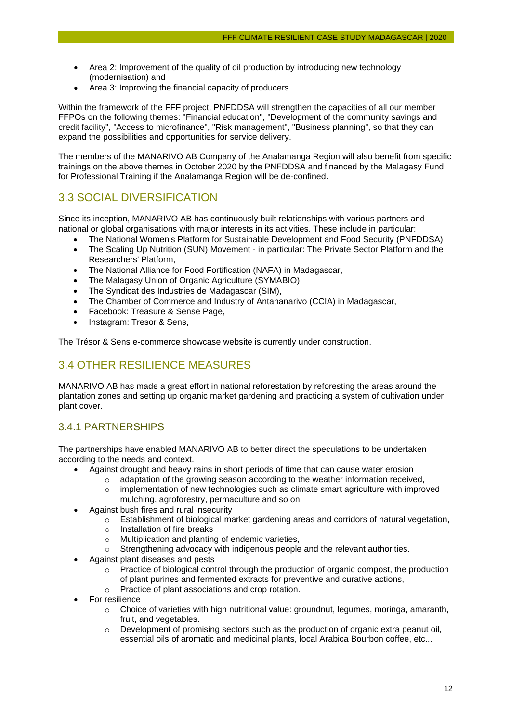- Area 2: Improvement of the quality of oil production by introducing new technology (modernisation) and
- Area 3: Improving the financial capacity of producers.

Within the framework of the FFF project, PNFDDSA will strengthen the capacities of all our member FFPOs on the following themes: "Financial education", "Development of the community savings and credit facility", "Access to microfinance", "Risk management", "Business planning", so that they can expand the possibilities and opportunities for service delivery.

The members of the MANARIVO AB Company of the Analamanga Region will also benefit from specific trainings on the above themes in October 2020 by the PNFDDSA and financed by the Malagasy Fund for Professional Training if the Analamanga Region will be de-confined.

#### <span id="page-13-0"></span>3.3 SOCIAL DIVERSIFICATION

Since its inception, MANARIVO AB has continuously built relationships with various partners and national or global organisations with major interests in its activities. These include in particular:

- The National Women's Platform for Sustainable Development and Food Security (PNFDDSA)
- The Scaling Up Nutrition (SUN) Movement in particular: The Private Sector Platform and the Researchers' Platform,
- The National Alliance for Food Fortification (NAFA) in Madagascar,
- The Malagasy Union of Organic Agriculture (SYMABIO),
- The Syndicat des Industries de Madagascar (SIM),
- The Chamber of Commerce and Industry of Antananarivo (CCIA) in Madagascar,
- Facebook: Treasure & Sense Page,
- Instagram: Tresor & Sens,

The Trésor & Sens e-commerce showcase website is currently under construction.

## <span id="page-13-1"></span>3.4 OTHER RESILIENCE MEASURES

MANARIVO AB has made a great effort in national reforestation by reforesting the areas around the plantation zones and setting up organic market gardening and practicing a system of cultivation under plant cover.

#### <span id="page-13-2"></span>3.4.1 PARTNERSHIPS

The partnerships have enabled MANARIVO AB to better direct the speculations to be undertaken according to the needs and context.

- Against drought and heavy rains in short periods of time that can cause water erosion
	- $\circ$  adaptation of the growing season according to the weather information received,
	- $\circ$  implementation of new technologies such as climate smart agriculture with improved mulching, agroforestry, permaculture and so on.
- Against bush fires and rural insecurity
	- $\circ$  Establishment of biological market gardening areas and corridors of natural vegetation,
	- o Installation of fire breaks
	- o Multiplication and planting of endemic varieties,
	- o Strengthening advocacy with indigenous people and the relevant authorities.
- Against plant diseases and pests
	- $\circ$  Practice of biological control through the production of organic compost, the production of plant purines and fermented extracts for preventive and curative actions,
	- o Practice of plant associations and crop rotation.
- For resilience
	- $\circ$  Choice of varieties with high nutritional value: groundnut, legumes, moringa, amaranth, fruit, and vegetables.
	- $\circ$  Development of promising sectors such as the production of organic extra peanut oil, essential oils of aromatic and medicinal plants, local Arabica Bourbon coffee, etc...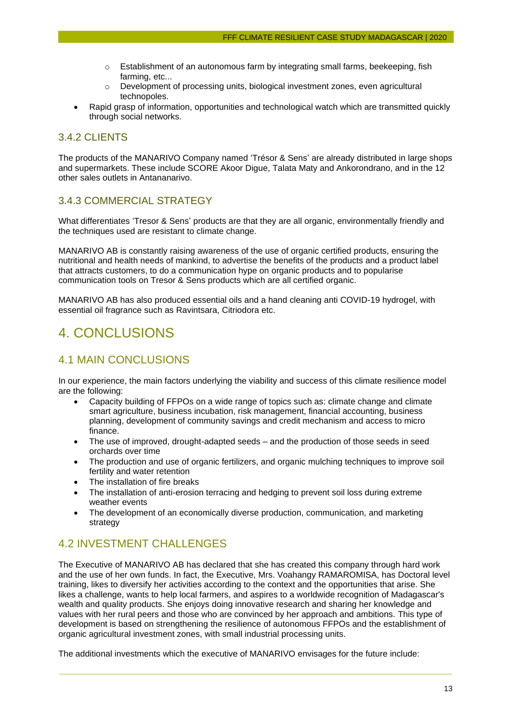- $\circ$  Establishment of an autonomous farm by integrating small farms, beekeeping, fish farming, etc...
- o Development of processing units, biological investment zones, even agricultural technopoles.
- Rapid grasp of information, opportunities and technological watch which are transmitted quickly through social networks.

#### <span id="page-14-0"></span>3.4.2 CLIENTS

The products of the MANARIVO Company named 'Trésor & Sens' are already distributed in large shops and supermarkets. These include SCORE Akoor Digue, Talata Maty and Ankorondrano, and in the 12 other sales outlets in Antananarivo.

#### <span id="page-14-1"></span>3.4.3 COMMERCIAL STRATEGY

What differentiates 'Tresor & Sens' products are that they are all organic, environmentally friendly and the techniques used are resistant to climate change.

MANARIVO AB is constantly raising awareness of the use of organic certified products, ensuring the nutritional and health needs of mankind, to advertise the benefits of the products and a product label that attracts customers, to do a communication hype on organic products and to popularise communication tools on Tresor & Sens products which are all certified organic.

MANARIVO AB has also produced essential oils and a hand cleaning anti COVID-19 hydrogel, with essential oil fragrance such as Ravintsara, Citriodora etc.

## <span id="page-14-2"></span>4. CONCLUSIONS

#### <span id="page-14-3"></span>4.1 MAIN CONCLUSIONS

In our experience, the main factors underlying the viability and success of this climate resilience model are the following:

- Capacity building of FFPOs on a wide range of topics such as: climate change and climate smart agriculture, business incubation, risk management, financial accounting, business planning, development of community savings and credit mechanism and access to micro finance.
- The use of improved, drought-adapted seeds and the production of those seeds in seed orchards over time
- The production and use of organic fertilizers, and organic mulching techniques to improve soil fertility and water retention
- The installation of fire breaks
- The installation of anti-erosion terracing and hedging to prevent soil loss during extreme weather events
- The development of an economically diverse production, communication, and marketing strategy

#### <span id="page-14-4"></span>4.2 INVESTMENT CHALLENGES

The Executive of MANARIVO AB has declared that she has created this company through hard work and the use of her own funds. In fact, the Executive, Mrs. Voahangy RAMAROMISA, has Doctoral level training, likes to diversify her activities according to the context and the opportunities that arise. She likes a challenge, wants to help local farmers, and aspires to a worldwide recognition of Madagascar's wealth and quality products. She enjoys doing innovative research and sharing her knowledge and values with her rural peers and those who are convinced by her approach and ambitions. This type of development is based on strengthening the resilience of autonomous FFPOs and the establishment of organic agricultural investment zones, with small industrial processing units.

The additional investments which the executive of MANARIVO envisages for the future include: